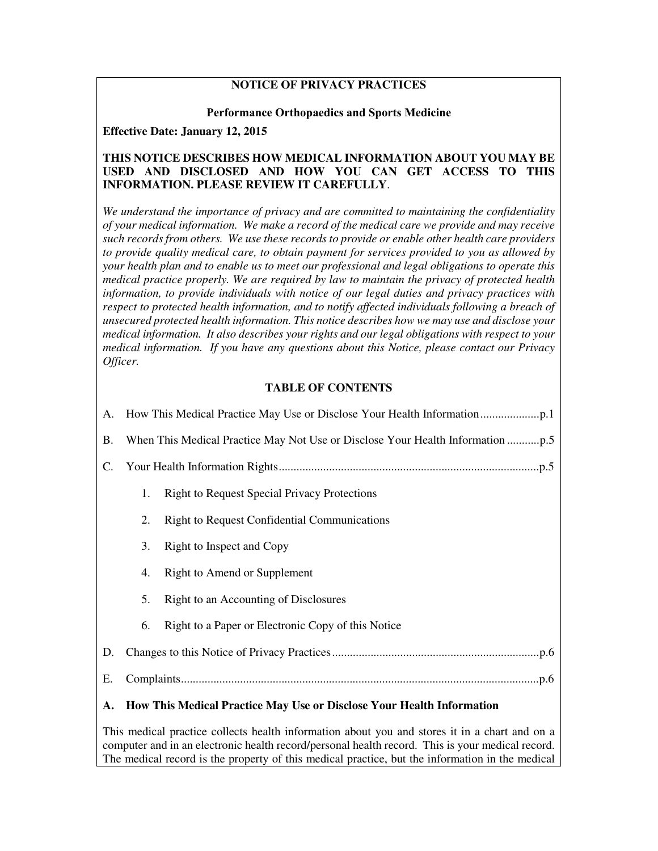## **NOTICE OF PRIVACY PRACTICES**

#### **Performance Orthopaedics and Sports Medicine**

**Effective Date: January 12, 2015** 

#### **THIS NOTICE DESCRIBES HOW MEDICAL INFORMATION ABOUT YOU MAY BE USED AND DISCLOSED AND HOW YOU CAN GET ACCESS TO THIS INFORMATION. PLEASE REVIEW IT CAREFULLY**.

*We understand the importance of privacy and are committed to maintaining the confidentiality of your medical information. We make a record of the medical care we provide and may receive such records from others. We use these records to provide or enable other health care providers to provide quality medical care, to obtain payment for services provided to you as allowed by your health plan and to enable us to meet our professional and legal obligations to operate this medical practice properly. We are required by law to maintain the privacy of protected health information, to provide individuals with notice of our legal duties and privacy practices with*  respect to protected health information, and to notify affected individuals following a breach of *unsecured protected health information. This notice describes how we may use and disclose your medical information. It also describes your rights and our legal obligations with respect to your medical information. If you have any questions about this Notice, please contact our Privacy Officer.* 

### **TABLE OF CONTENTS**

| <b>B.</b> |                                                                              |                                                     |
|-----------|------------------------------------------------------------------------------|-----------------------------------------------------|
| C.        |                                                                              |                                                     |
|           | 1.                                                                           | <b>Right to Request Special Privacy Protections</b> |
|           | 2.                                                                           | <b>Right to Request Confidential Communications</b> |
|           | 3.                                                                           | Right to Inspect and Copy                           |
|           | 4.                                                                           | Right to Amend or Supplement                        |
|           | 5.                                                                           | Right to an Accounting of Disclosures               |
|           | 6.                                                                           | Right to a Paper or Electronic Copy of this Notice  |
| D.        |                                                                              |                                                     |
| Ε.        |                                                                              |                                                     |
| A.        | <b>How This Medical Practice May Use or Disclose Your Health Information</b> |                                                     |

This medical practice collects health information about you and stores it in a chart and on a computer and in an electronic health record/personal health record. This is your medical record. The medical record is the property of this medical practice, but the information in the medical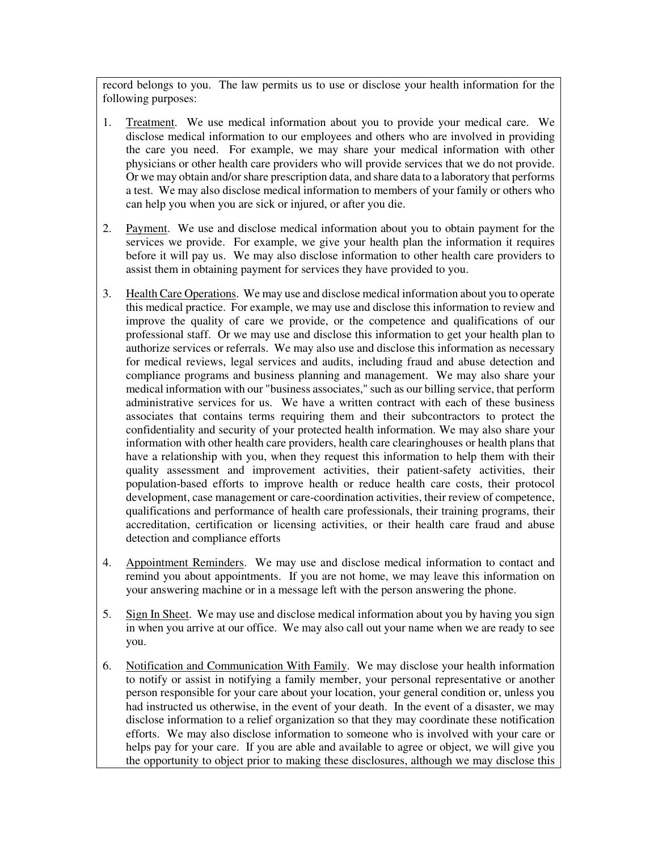record belongs to you. The law permits us to use or disclose your health information for the following purposes:

- 1. Treatment. We use medical information about you to provide your medical care. We disclose medical information to our employees and others who are involved in providing the care you need. For example, we may share your medical information with other physicians or other health care providers who will provide services that we do not provide. Or we may obtain and/or share prescription data, and share data to a laboratory that performs a test. We may also disclose medical information to members of your family or others who can help you when you are sick or injured, or after you die.
- 2. Payment. We use and disclose medical information about you to obtain payment for the services we provide. For example, we give your health plan the information it requires before it will pay us. We may also disclose information to other health care providers to assist them in obtaining payment for services they have provided to you.
- 3. Health Care Operations. We may use and disclose medical information about you to operate this medical practice. For example, we may use and disclose this information to review and improve the quality of care we provide, or the competence and qualifications of our professional staff. Or we may use and disclose this information to get your health plan to authorize services or referrals. We may also use and disclose this information as necessary for medical reviews, legal services and audits, including fraud and abuse detection and compliance programs and business planning and management. We may also share your medical information with our "business associates," such as our billing service, that perform administrative services for us. We have a written contract with each of these business associates that contains terms requiring them and their subcontractors to protect the confidentiality and security of your protected health information. We may also share your information with other health care providers, health care clearinghouses or health plans that have a relationship with you, when they request this information to help them with their quality assessment and improvement activities, their patient-safety activities, their population-based efforts to improve health or reduce health care costs, their protocol development, case management or care-coordination activities, their review of competence, qualifications and performance of health care professionals, their training programs, their accreditation, certification or licensing activities, or their health care fraud and abuse detection and compliance efforts
- 4. Appointment Reminders. We may use and disclose medical information to contact and remind you about appointments. If you are not home, we may leave this information on your answering machine or in a message left with the person answering the phone.
- 5. Sign In Sheet. We may use and disclose medical information about you by having you sign in when you arrive at our office. We may also call out your name when we are ready to see you.
- 6. Notification and Communication With Family. We may disclose your health information to notify or assist in notifying a family member, your personal representative or another person responsible for your care about your location, your general condition or, unless you had instructed us otherwise, in the event of your death. In the event of a disaster, we may disclose information to a relief organization so that they may coordinate these notification efforts. We may also disclose information to someone who is involved with your care or helps pay for your care. If you are able and available to agree or object, we will give you the opportunity to object prior to making these disclosures, although we may disclose this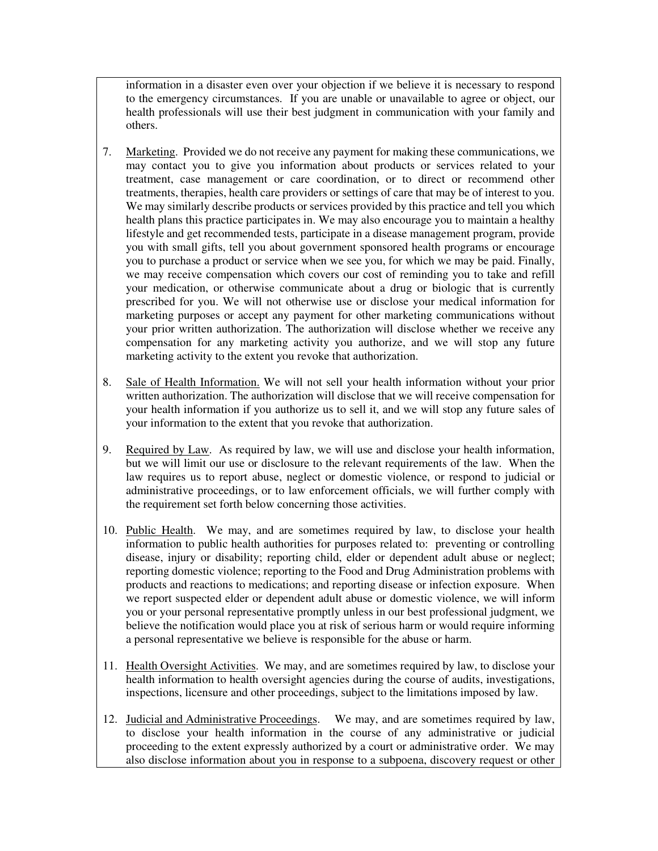information in a disaster even over your objection if we believe it is necessary to respond to the emergency circumstances. If you are unable or unavailable to agree or object, our health professionals will use their best judgment in communication with your family and others.

- 7. Marketing. Provided we do not receive any payment for making these communications, we may contact you to give you information about products or services related to your treatment, case management or care coordination, or to direct or recommend other treatments, therapies, health care providers or settings of care that may be of interest to you. We may similarly describe products or services provided by this practice and tell you which health plans this practice participates in. We may also encourage you to maintain a healthy lifestyle and get recommended tests, participate in a disease management program, provide you with small gifts, tell you about government sponsored health programs or encourage you to purchase a product or service when we see you, for which we may be paid. Finally, we may receive compensation which covers our cost of reminding you to take and refill your medication, or otherwise communicate about a drug or biologic that is currently prescribed for you. We will not otherwise use or disclose your medical information for marketing purposes or accept any payment for other marketing communications without your prior written authorization. The authorization will disclose whether we receive any compensation for any marketing activity you authorize, and we will stop any future marketing activity to the extent you revoke that authorization.
- 8. Sale of Health Information. We will not sell your health information without your prior written authorization. The authorization will disclose that we will receive compensation for your health information if you authorize us to sell it, and we will stop any future sales of your information to the extent that you revoke that authorization.
- 9. Required by Law. As required by law, we will use and disclose your health information, but we will limit our use or disclosure to the relevant requirements of the law. When the law requires us to report abuse, neglect or domestic violence, or respond to judicial or administrative proceedings, or to law enforcement officials, we will further comply with the requirement set forth below concerning those activities.
- 10. Public Health. We may, and are sometimes required by law, to disclose your health information to public health authorities for purposes related to: preventing or controlling disease, injury or disability; reporting child, elder or dependent adult abuse or neglect; reporting domestic violence; reporting to the Food and Drug Administration problems with products and reactions to medications; and reporting disease or infection exposure. When we report suspected elder or dependent adult abuse or domestic violence, we will inform you or your personal representative promptly unless in our best professional judgment, we believe the notification would place you at risk of serious harm or would require informing a personal representative we believe is responsible for the abuse or harm.
- 11. Health Oversight Activities. We may, and are sometimes required by law, to disclose your health information to health oversight agencies during the course of audits, investigations, inspections, licensure and other proceedings, subject to the limitations imposed by law.
- 12. Judicial and Administrative Proceedings. We may, and are sometimes required by law, to disclose your health information in the course of any administrative or judicial proceeding to the extent expressly authorized by a court or administrative order. We may also disclose information about you in response to a subpoena, discovery request or other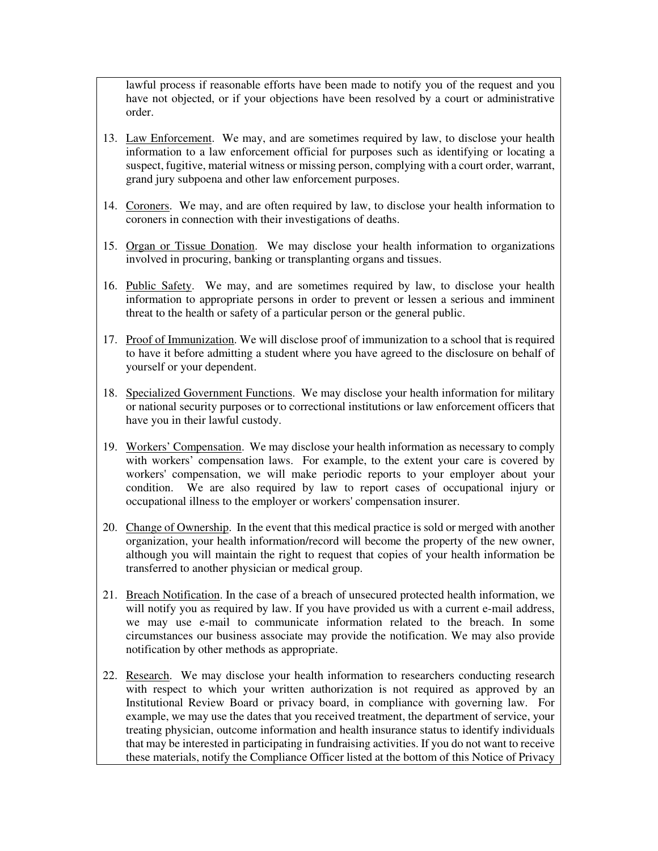lawful process if reasonable efforts have been made to notify you of the request and you have not objected, or if your objections have been resolved by a court or administrative order.

- 13. Law Enforcement. We may, and are sometimes required by law, to disclose your health information to a law enforcement official for purposes such as identifying or locating a suspect, fugitive, material witness or missing person, complying with a court order, warrant, grand jury subpoena and other law enforcement purposes.
- 14. Coroners. We may, and are often required by law, to disclose your health information to coroners in connection with their investigations of deaths.
- 15. Organ or Tissue Donation. We may disclose your health information to organizations involved in procuring, banking or transplanting organs and tissues.
- 16. Public Safety. We may, and are sometimes required by law, to disclose your health information to appropriate persons in order to prevent or lessen a serious and imminent threat to the health or safety of a particular person or the general public.
- 17. Proof of Immunization. We will disclose proof of immunization to a school that is required to have it before admitting a student where you have agreed to the disclosure on behalf of yourself or your dependent.
- 18. Specialized Government Functions. We may disclose your health information for military or national security purposes or to correctional institutions or law enforcement officers that have you in their lawful custody.
- 19. Workers' Compensation. We may disclose your health information as necessary to comply with workers' compensation laws. For example, to the extent your care is covered by workers' compensation, we will make periodic reports to your employer about your condition. We are also required by law to report cases of occupational injury or occupational illness to the employer or workers' compensation insurer.
- 20. Change of Ownership. In the event that this medical practice is sold or merged with another organization, your health information/record will become the property of the new owner, although you will maintain the right to request that copies of your health information be transferred to another physician or medical group.
- 21. Breach Notification. In the case of a breach of unsecured protected health information, we will notify you as required by law. If you have provided us with a current e-mail address, we may use e-mail to communicate information related to the breach. In some circumstances our business associate may provide the notification. We may also provide notification by other methods as appropriate.
- 22. Research. We may disclose your health information to researchers conducting research with respect to which your written authorization is not required as approved by an Institutional Review Board or privacy board, in compliance with governing law. For example, we may use the dates that you received treatment, the department of service, your treating physician, outcome information and health insurance status to identify individuals that may be interested in participating in fundraising activities. If you do not want to receive these materials, notify the Compliance Officer listed at the bottom of this Notice of Privacy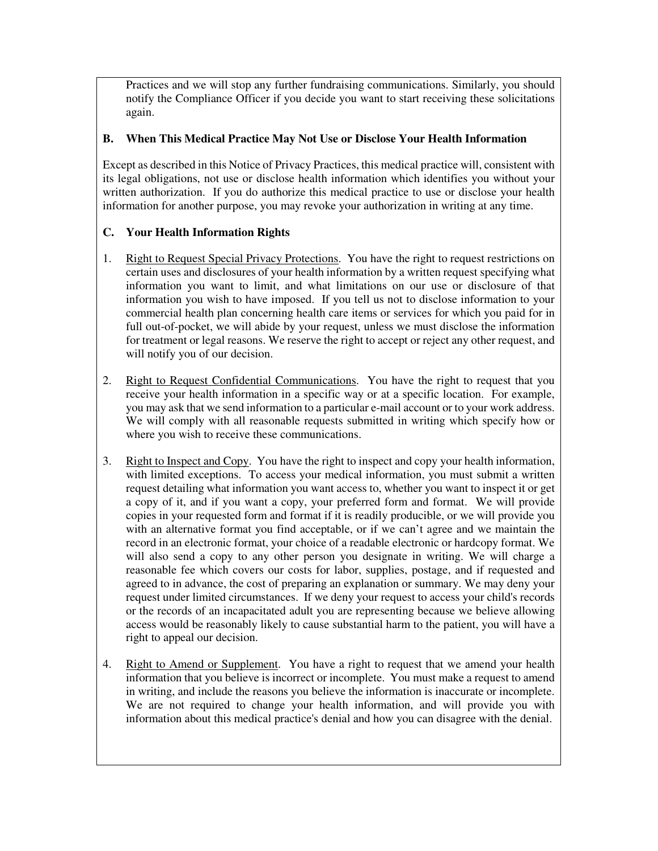Practices and we will stop any further fundraising communications. Similarly, you should notify the Compliance Officer if you decide you want to start receiving these solicitations again.

### **B. When This Medical Practice May Not Use or Disclose Your Health Information**

Except as described in this Notice of Privacy Practices, this medical practice will, consistent with its legal obligations, not use or disclose health information which identifies you without your written authorization. If you do authorize this medical practice to use or disclose your health information for another purpose, you may revoke your authorization in writing at any time.

### **C. Your Health Information Rights**

- 1. Right to Request Special Privacy Protections. You have the right to request restrictions on certain uses and disclosures of your health information by a written request specifying what information you want to limit, and what limitations on our use or disclosure of that information you wish to have imposed. If you tell us not to disclose information to your commercial health plan concerning health care items or services for which you paid for in full out-of-pocket, we will abide by your request, unless we must disclose the information for treatment or legal reasons. We reserve the right to accept or reject any other request, and will notify you of our decision.
- 2. Right to Request Confidential Communications. You have the right to request that you receive your health information in a specific way or at a specific location. For example, you may ask that we send information to a particular e-mail account or to your work address. We will comply with all reasonable requests submitted in writing which specify how or where you wish to receive these communications.
- 3. Right to Inspect and Copy. You have the right to inspect and copy your health information, with limited exceptions. To access your medical information, you must submit a written request detailing what information you want access to, whether you want to inspect it or get a copy of it, and if you want a copy, your preferred form and format. We will provide copies in your requested form and format if it is readily producible, or we will provide you with an alternative format you find acceptable, or if we can't agree and we maintain the record in an electronic format, your choice of a readable electronic or hardcopy format. We will also send a copy to any other person you designate in writing. We will charge a reasonable fee which covers our costs for labor, supplies, postage, and if requested and agreed to in advance, the cost of preparing an explanation or summary. We may deny your request under limited circumstances. If we deny your request to access your child's records or the records of an incapacitated adult you are representing because we believe allowing access would be reasonably likely to cause substantial harm to the patient, you will have a right to appeal our decision.
- 4. Right to Amend or Supplement. You have a right to request that we amend your health information that you believe is incorrect or incomplete. You must make a request to amend in writing, and include the reasons you believe the information is inaccurate or incomplete. We are not required to change your health information, and will provide you with information about this medical practice's denial and how you can disagree with the denial.